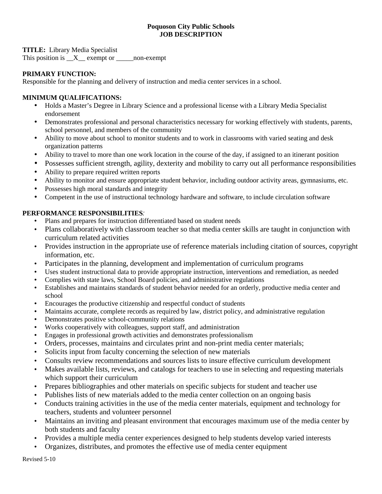### **Poquoson City Public Schools JOB DESCRIPTION**

**TITLE:** Library Media Specialist

This position is \_\_X\_\_ exempt or \_\_\_\_\_non-exempt

# **PRIMARY FUNCTION:**

Responsible for the planning and delivery of instruction and media center services in a school.

## **MINIMUM QUALIFICATIONS:**

- Holds a Master's Degree in Library Science and a professional license with a Library Media Specialist endorsement
- Demonstrates professional and personal characteristics necessary for working effectively with students, parents, school personnel, and members of the community
- Ability to move about school to monitor students and to work in classrooms with varied seating and desk organization patterns
- Ability to travel to more than one work location in the course of the day, if assigned to an itinerant position
- Possesses sufficient strength, agility, dexterity and mobility to carry out all performance responsibilities
- Ability to prepare required written reports
- Ability to monitor and ensure appropriate student behavior, including outdoor activity areas, gymnasiums, etc.
- Possesses high moral standards and integrity
- Competent in the use of instructional technology hardware and software, to include circulation software

### **PERFORMANCE RESPONSIBILITIES**:

- Plans and prepares for instruction differentiated based on student needs
- Plans collaboratively with classroom teacher so that media center skills are taught in conjunction with curriculum related activities
- Provides instruction in the appropriate use of reference materials including citation of sources, copyright information, etc.
- Participates in the planning, development and implementation of curriculum programs
- Uses student instructional data to provide appropriate instruction, interventions and remediation, as needed
- Complies with state laws, School Board policies, and administrative regulations
- Establishes and maintains standards of student behavior needed for an orderly, productive media center and school
- Encourages the productive citizenship and respectful conduct of students
- Maintains accurate, complete records as required by law, district policy, and administrative regulation
- Demonstrates positive school-community relations
- Works cooperatively with colleagues, support staff, and administration
- Engages in professional growth activities and demonstrates professionalism
- Orders, processes, maintains and circulates print and non-print media center materials;
- Solicits input from faculty concerning the selection of new materials
- Consults review recommendations and sources lists to insure effective curriculum development
- Makes available lists, reviews, and catalogs for teachers to use in selecting and requesting materials which support their curriculum
- Prepares bibliographies and other materials on specific subjects for student and teacher use
- Publishes lists of new materials added to the media center collection on an ongoing basis
- Conducts training activities in the use of the media center materials, equipment and technology for teachers, students and volunteer personnel
- Maintains an inviting and pleasant environment that encourages maximum use of the media center by both students and faculty
- Provides a multiple media center experiences designed to help students develop varied interests
- Organizes, distributes, and promotes the effective use of media center equipment